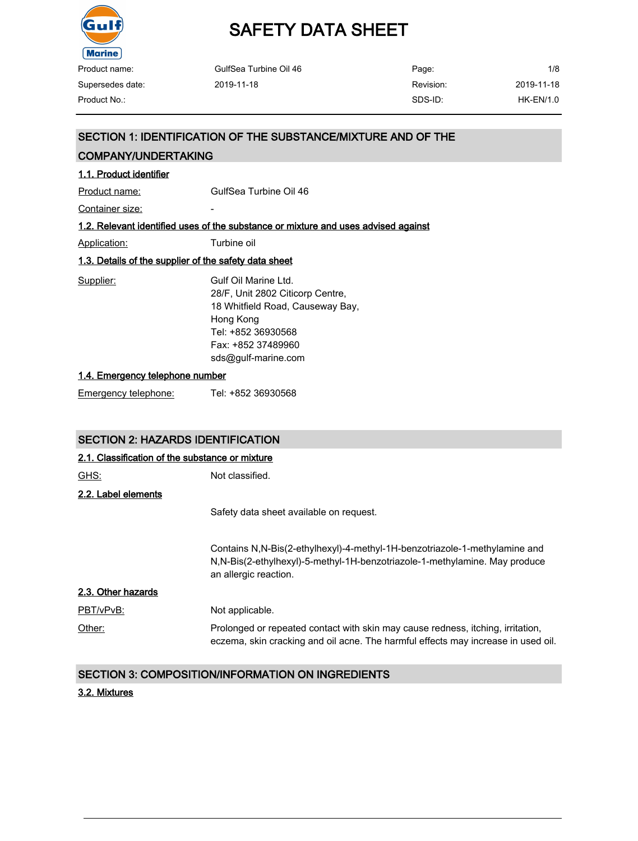

| GulfSea Turbine Oil 46 | Page:     | 1/8         |
|------------------------|-----------|-------------|
| 2019-11-18             | Revision: | 2019-11-18  |
|                        | SDS-ID:   | $HK-EN/1.0$ |
|                        |           |             |

## SECTION 1: IDENTIFICATION OF THE SUBSTANCE/MIXTURE AND OF THE

### COMPANY/UNDERTAKING

### 1.1. Product identifier

Product name: GulfSea Turbine Oil 46

Container size: **container** size:

### 1.2. Relevant identified uses of the substance or mixture and uses advised against

Application: Turbine oil

#### 1.3. Details of the supplier of the safety data sheet

| Supplier: | Gulf Oil Marine Ltd.             |
|-----------|----------------------------------|
|           | 28/F, Unit 2802 Citicorp Centre, |
|           | 18 Whitfield Road, Causeway Bay, |
|           | Hong Kong                        |
|           | Tel: +852 36930568               |
|           | Fax: +852 37489960               |
|           | sds@gulf-marine.com              |
|           |                                  |

#### 1.4. Emergency telephone number

Emergency telephone: Tel: +852 36930568

# SECTION 2: HAZARDS IDENTIFICATION

| 2.1. Classification of the substance or mixture |                                                                                                                                                                                   |
|-------------------------------------------------|-----------------------------------------------------------------------------------------------------------------------------------------------------------------------------------|
| <u>GHS:</u>                                     | Not classified.                                                                                                                                                                   |
| 2.2. Label elements                             |                                                                                                                                                                                   |
|                                                 | Safety data sheet available on request.                                                                                                                                           |
|                                                 | Contains N.N-Bis(2-ethylhexyl)-4-methyl-1H-benzotriazole-1-methylamine and<br>N,N-Bis(2-ethylhexyl)-5-methyl-1H-benzotriazole-1-methylamine. May produce<br>an allergic reaction. |
| 2.3. Other hazards                              |                                                                                                                                                                                   |
| PBT/vPvB:                                       | Not applicable.                                                                                                                                                                   |
| Other:                                          | Prolonged or repeated contact with skin may cause redness, itching, irritation,<br>eczema, skin cracking and oil acne. The harmful effects may increase in used oil.              |

# SECTION 3: COMPOSITION/INFORMATION ON INGREDIENTS

#### 3.2. Mixtures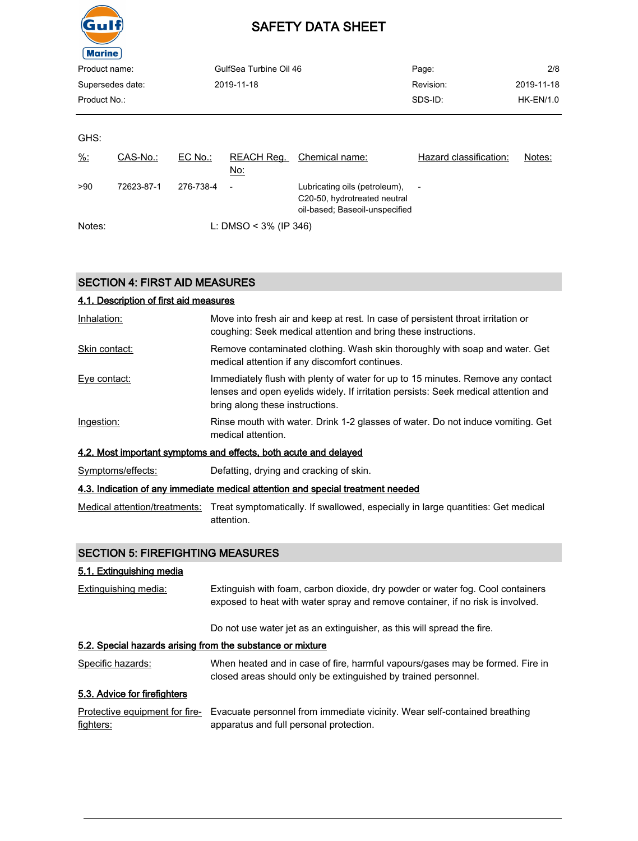

| Product name:    |            |            | GulfSea Turbine Oil 46   |                                                                                                 | Page:                    | 2/8        |
|------------------|------------|------------|--------------------------|-------------------------------------------------------------------------------------------------|--------------------------|------------|
| Supersedes date: |            | 2019-11-18 |                          |                                                                                                 | Revision:                | 2019-11-18 |
| Product No.:     |            |            |                          | SDS-ID:                                                                                         | <b>HK-EN/1.0</b>         |            |
|                  |            |            |                          |                                                                                                 |                          |            |
| GHS:             |            |            |                          |                                                                                                 |                          |            |
| $\frac{9}{6}$ :  | CAS-No.:   | EC No.:    | REACH Reg.<br>No:        | Chemical name:                                                                                  | Hazard classification:   | Notes:     |
| >90              | 72623-87-1 | 276-738-4  | $\overline{\phantom{a}}$ | Lubricating oils (petroleum),<br>C20-50, hydrotreated neutral<br>oil-based; Baseoil-unspecified | $\overline{\phantom{a}}$ |            |
| Notes:           |            |            | L: DMSO < $3\%$ (IP 346) |                                                                                                 |                          |            |

# SECTION 4: FIRST AID MEASURES

| 4.1. Description of first aid measures |                                                                                                                                                                                                          |
|----------------------------------------|----------------------------------------------------------------------------------------------------------------------------------------------------------------------------------------------------------|
| Inhalation:                            | Move into fresh air and keep at rest. In case of persistent throat irritation or<br>coughing: Seek medical attention and bring these instructions.                                                       |
| Skin contact:                          | Remove contaminated clothing. Wash skin thoroughly with soap and water. Get<br>medical attention if any discomfort continues.                                                                            |
| Eye contact:                           | Immediately flush with plenty of water for up to 15 minutes. Remove any contact<br>lenses and open eyelids widely. If irritation persists: Seek medical attention and<br>bring along these instructions. |
| Ingestion:                             | Rinse mouth with water. Drink 1-2 glasses of water. Do not induce vomiting. Get<br>medical attention.                                                                                                    |
|                                        | 4.2. Most important symptoms and effects, both acute and delayed                                                                                                                                         |
| Symptoms/effects:                      | Defatting, drying and cracking of skin.                                                                                                                                                                  |
|                                        | <u>4.3. Indication of any immediate medical attention and special treatment needed</u>                                                                                                                   |
|                                        | Medical attention/treatments: Treat symptomatically. If swallowed, especially in large quantities: Get medical<br>attention.                                                                             |

# SECTION 5: FIREFIGHTING MEASURES

### 5.1. Extinguishing media

| Extinguishing media:                                       | Extinguish with foam, carbon dioxide, dry powder or water fog. Cool containers<br>exposed to heat with water spray and remove container, if no risk is involved. |
|------------------------------------------------------------|------------------------------------------------------------------------------------------------------------------------------------------------------------------|
|                                                            | Do not use water jet as an extinguisher, as this will spread the fire.                                                                                           |
| 5.2. Special hazards arising from the substance or mixture |                                                                                                                                                                  |
| Specific hazards:                                          | When heated and in case of fire, harmful vapours/gases may be formed. Fire in<br>closed areas should only be extinguished by trained personnel.                  |
| 5.3. Advice for firefighters                               |                                                                                                                                                                  |
| Protective equipment for fire-<br>fighters:                | Evacuate personnel from immediate vicinity. Wear self-contained breathing<br>apparatus and full personal protection.                                             |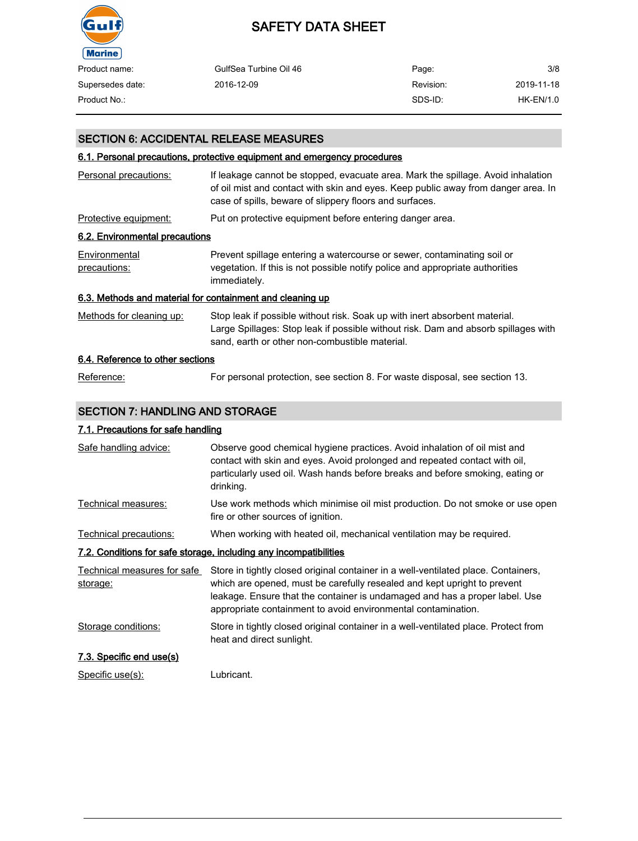

| Product name:    | GulfSea Turbine Oil 46 | Page:     | 3/8         |
|------------------|------------------------|-----------|-------------|
| Supersedes date: | 2016-12-09             | Revision: | 2019-11-18  |
| Product No.:     |                        | SDS-ID:   | $HK-EN/1.0$ |

### SECTION 6: ACCIDENTAL RELEASE MEASURES

### 6.1. Personal precautions, protective equipment and emergency procedures

| If leakage cannot be stopped, evacuate area. Mark the spillage. Avoid inhalation<br>of oil mist and contact with skin and eyes. Keep public away from danger area. In<br>case of spills, beware of slippery floors and surfaces.<br>Put on protective equipment before entering danger area.<br>6.2. Environmental precautions<br>Prevent spillage entering a watercourse or sewer, contaminating soil or<br>vegetation. If this is not possible notify police and appropriate authorities<br>immediately.<br>6.3. Methods and material for containment and cleaning up<br>Stop leak if possible without risk. Soak up with inert absorbent material.<br>Large Spillages: Stop leak if possible without risk. Dam and absorb spillages with<br>sand, earth or other non-combustible material.<br>6.4. Reference to other sections |                               |  |
|-----------------------------------------------------------------------------------------------------------------------------------------------------------------------------------------------------------------------------------------------------------------------------------------------------------------------------------------------------------------------------------------------------------------------------------------------------------------------------------------------------------------------------------------------------------------------------------------------------------------------------------------------------------------------------------------------------------------------------------------------------------------------------------------------------------------------------------|-------------------------------|--|
|                                                                                                                                                                                                                                                                                                                                                                                                                                                                                                                                                                                                                                                                                                                                                                                                                                   | Personal precautions:         |  |
|                                                                                                                                                                                                                                                                                                                                                                                                                                                                                                                                                                                                                                                                                                                                                                                                                                   | Protective equipment:         |  |
|                                                                                                                                                                                                                                                                                                                                                                                                                                                                                                                                                                                                                                                                                                                                                                                                                                   |                               |  |
|                                                                                                                                                                                                                                                                                                                                                                                                                                                                                                                                                                                                                                                                                                                                                                                                                                   | Environmental<br>precautions: |  |
|                                                                                                                                                                                                                                                                                                                                                                                                                                                                                                                                                                                                                                                                                                                                                                                                                                   |                               |  |
|                                                                                                                                                                                                                                                                                                                                                                                                                                                                                                                                                                                                                                                                                                                                                                                                                                   | Methods for cleaning up:      |  |
|                                                                                                                                                                                                                                                                                                                                                                                                                                                                                                                                                                                                                                                                                                                                                                                                                                   |                               |  |

# Reference: For personal protection, see section 8. For waste disposal, see section 13.

### SECTION 7: HANDLING AND STORAGE

### 7.1. Precautions for safe handling

| Safe handling advice:                   | Observe good chemical hygiene practices. Avoid inhalation of oil mist and<br>contact with skin and eyes. Avoid prolonged and repeated contact with oil,<br>particularly used oil. Wash hands before breaks and before smoking, eating or<br>drinking.                                                          |
|-----------------------------------------|----------------------------------------------------------------------------------------------------------------------------------------------------------------------------------------------------------------------------------------------------------------------------------------------------------------|
| Technical measures:                     | Use work methods which minimise oil mist production. Do not smoke or use open<br>fire or other sources of ignition.                                                                                                                                                                                            |
| Technical precautions:                  | When working with heated oil, mechanical ventilation may be required.                                                                                                                                                                                                                                          |
|                                         | 7.2. Conditions for safe storage, including any incompatibilities                                                                                                                                                                                                                                              |
| Technical measures for safe<br>storage: | Store in tightly closed original container in a well-ventilated place. Containers,<br>which are opened, must be carefully resealed and kept upright to prevent<br>leakage. Ensure that the container is undamaged and has a proper label. Use<br>appropriate containment to avoid environmental contamination. |
| Storage conditions:                     | Store in tightly closed original container in a well-ventilated place. Protect from<br>heat and direct sunlight.                                                                                                                                                                                               |
| 7.3. Specific end use(s)                |                                                                                                                                                                                                                                                                                                                |
| Specific use(s):                        | Lubricant.                                                                                                                                                                                                                                                                                                     |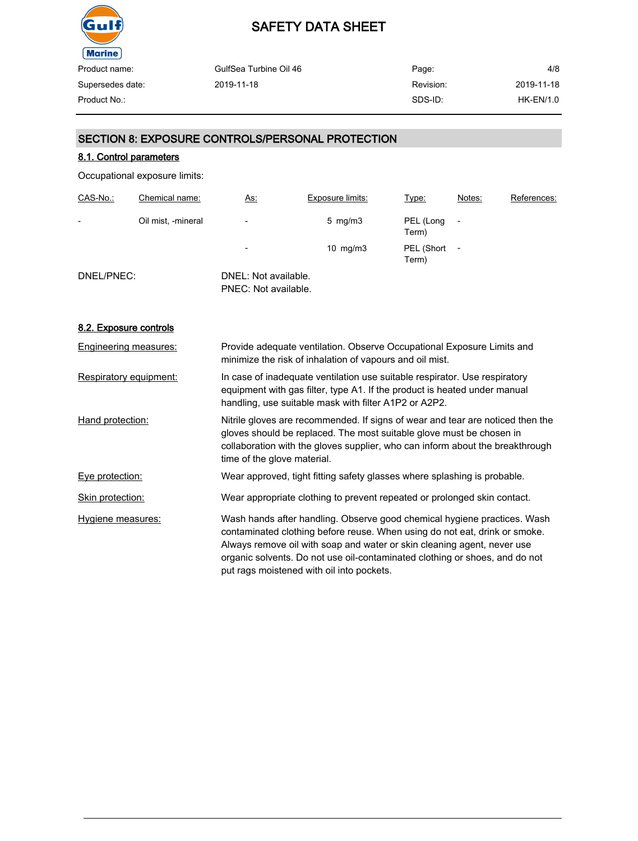

| GulfSea Turbine Oil 46 | Page:     | 4/8         |
|------------------------|-----------|-------------|
| 2019-11-18             | Revision: | 2019-11-18  |
|                        | SDS-ID:   | $HK-EN/1.0$ |
|                        |           |             |

### SECTION 8: EXPOSURE CONTROLS/PERSONAL PROTECTION

### 8.1. Control parameters

Occupational exposure limits:

| CAS-No.:                 | Chemical name:     | <u>As:</u>                                   | <b>Exposure limits:</b> | Type:               | Notes: | References: |
|--------------------------|--------------------|----------------------------------------------|-------------------------|---------------------|--------|-------------|
| $\overline{\phantom{0}}$ | Oil mist, -mineral | $\overline{\phantom{a}}$                     | $5 \,$ mg/m $3 \,$      | PEL (Long<br>Term)  |        |             |
|                          |                    | $\overline{\phantom{a}}$                     | $10$ mg/m $3$           | PEL (Short<br>Term) |        |             |
| DNEL/PNEC:               |                    | DNEL: Not available.<br>PNEC: Not available. |                         |                     |        |             |

#### 8.2. Exposure controls

| Engineering measures:  | Provide adequate ventilation. Observe Occupational Exposure Limits and<br>minimize the risk of inhalation of vapours and oil mist.                                                                                                                                                                                                                            |
|------------------------|---------------------------------------------------------------------------------------------------------------------------------------------------------------------------------------------------------------------------------------------------------------------------------------------------------------------------------------------------------------|
| Respiratory equipment: | In case of inadequate ventilation use suitable respirator. Use respiratory<br>equipment with gas filter, type A1. If the product is heated under manual<br>handling, use suitable mask with filter A1P2 or A2P2.                                                                                                                                              |
| Hand protection:       | Nitrile gloves are recommended. If signs of wear and tear are noticed then the<br>gloves should be replaced. The most suitable glove must be chosen in<br>collaboration with the gloves supplier, who can inform about the breakthrough<br>time of the glove material.                                                                                        |
| Eye protection:        | Wear approved, tight fitting safety glasses where splashing is probable.                                                                                                                                                                                                                                                                                      |
| Skin protection:       | Wear appropriate clothing to prevent repeated or prolonged skin contact.                                                                                                                                                                                                                                                                                      |
| Hygiene measures:      | Wash hands after handling. Observe good chemical hygiene practices. Wash<br>contaminated clothing before reuse. When using do not eat, drink or smoke.<br>Always remove oil with soap and water or skin cleaning agent, never use<br>organic solvents. Do not use oil-contaminated clothing or shoes, and do not<br>put rags moistened with oil into pockets. |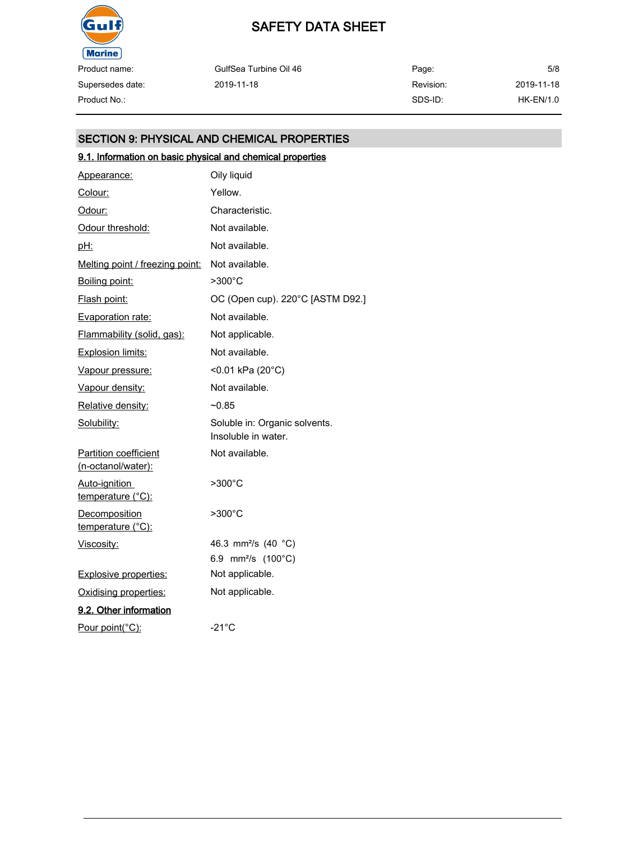

Product name: Supersedes date:

| Product name:    | GulfSea Turbine Oil 46 | Page:     | 5/8        |
|------------------|------------------------|-----------|------------|
| Supersedes date: | 2019-11-18             | Revision: | 2019-11-18 |
| Product No.:     |                        | SDS-ID:   | HK-EN/1.0  |

# SECTION 9: PHYSICAL AND CHEMICAL PROPERTIES

# 9.1. Information on basic physical and chemical properties

| Appearance:                                        | Oily liquid                                          |
|----------------------------------------------------|------------------------------------------------------|
| Colour:                                            | Yellow.                                              |
| Odour:                                             | Characteristic.                                      |
| Odour threshold:                                   | Not available.                                       |
| <u>pH:</u>                                         | Not available.                                       |
| Melting point / freezing point:                    | Not available.                                       |
| Boiling point:                                     | >300°C                                               |
| Flash point:                                       | OC (Open cup). 220°C [ASTM D92.]                     |
| Evaporation rate:                                  | Not available.                                       |
| Flammability (solid, gas):                         | Not applicable.                                      |
| Explosion limits:                                  | Not available.                                       |
| Vapour pressure:                                   | <0.01 kPa (20°C)                                     |
| Vapour density:                                    | Not available.                                       |
| Relative density:                                  | $-0.85$                                              |
| Solubility:                                        | Soluble in: Organic solvents.<br>Insoluble in water. |
| <b>Partition coefficient</b><br>(n-octanol/water): | Not available.                                       |
| Auto-ignition<br>temperature (°C):                 | >300°C                                               |
| <b>Decomposition</b><br>temperature (°C):          | $>300^{\circ}$ C                                     |
| Viscosity:                                         | 46.3 mm <sup>2</sup> /s (40 °C)                      |
|                                                    | 6.9 mm <sup>2</sup> /s (100°C)                       |
| <b>Explosive properties:</b>                       | Not applicable.                                      |
| Oxidising properties:                              | Not applicable.                                      |
| 9.2. Other information                             |                                                      |
| Pour point(°C):                                    | $-21^{\circ}$ C                                      |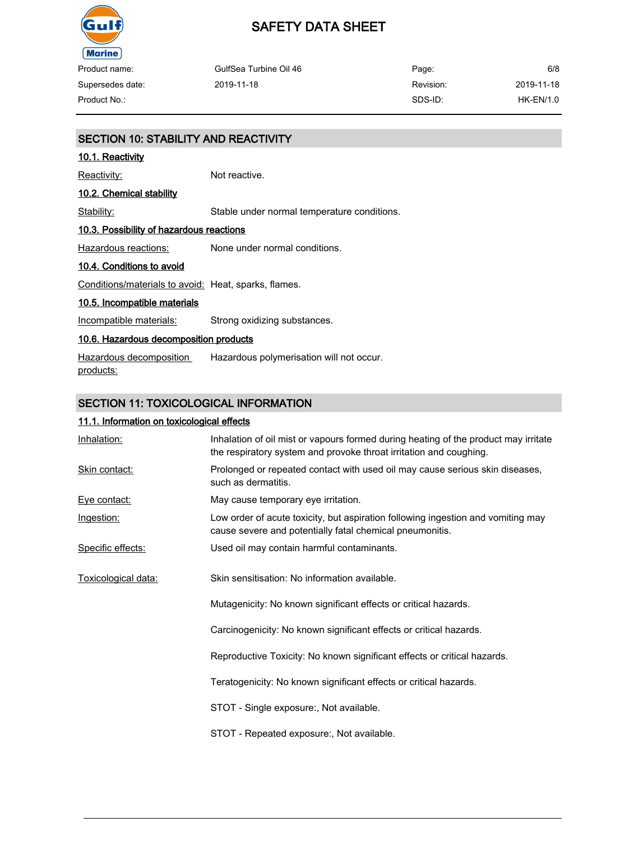

| Product name:    | GulfSea Turbine Oil 46 | Page:     | 6/8         |
|------------------|------------------------|-----------|-------------|
| Supersedes date: | 2019-11-18             | Revision: | 2019-11-18  |
| Product No.:     |                        | SDS-ID:   | $HK-EN/1.0$ |

| <b>SECTION 10: STABILITY AND REACTIVITY</b>          |                                             |  |
|------------------------------------------------------|---------------------------------------------|--|
| <u>10.1. Reactivity</u>                              |                                             |  |
| <u> Reactivity:</u>                                  | Not reactive.                               |  |
| 10.2. Chemical stability                             |                                             |  |
| Stability:                                           | Stable under normal temperature conditions. |  |
| 10.3. Possibility of hazardous reactions             |                                             |  |
| Hazardous reactions:                                 | None under normal conditions.               |  |
| 10.4. Conditions to avoid                            |                                             |  |
| Conditions/materials to avoid: Heat, sparks, flames. |                                             |  |
| 10.5. Incompatible materials                         |                                             |  |
| Incompatible materials:                              | Strong oxidizing substances.                |  |
| 10.6. Hazardous decomposition products               |                                             |  |
| Hazardous decomposition<br>products:                 | Hazardous polymerisation will not occur.    |  |

# SECTION 11: TOXICOLOGICAL INFORMATION

### 11.1. Information on toxicological effects

| Inhalation:         | Inhalation of oil mist or vapours formed during heating of the product may irritate<br>the respiratory system and provoke throat irritation and coughing. |
|---------------------|-----------------------------------------------------------------------------------------------------------------------------------------------------------|
| Skin contact:       | Prolonged or repeated contact with used oil may cause serious skin diseases,<br>such as dermatitis.                                                       |
| Eye contact:        | May cause temporary eye irritation.                                                                                                                       |
| Ingestion:          | Low order of acute toxicity, but aspiration following ingestion and vomiting may<br>cause severe and potentially fatal chemical pneumonitis.              |
| Specific effects:   | Used oil may contain harmful contaminants.                                                                                                                |
| Toxicological data: | Skin sensitisation: No information available.                                                                                                             |
|                     | Mutagenicity: No known significant effects or critical hazards.                                                                                           |
|                     | Carcinogenicity: No known significant effects or critical hazards.                                                                                        |
|                     | Reproductive Toxicity: No known significant effects or critical hazards.                                                                                  |
|                     | Teratogenicity: No known significant effects or critical hazards.                                                                                         |
|                     | STOT - Single exposure:, Not available.                                                                                                                   |
|                     | STOT - Repeated exposure:, Not available.                                                                                                                 |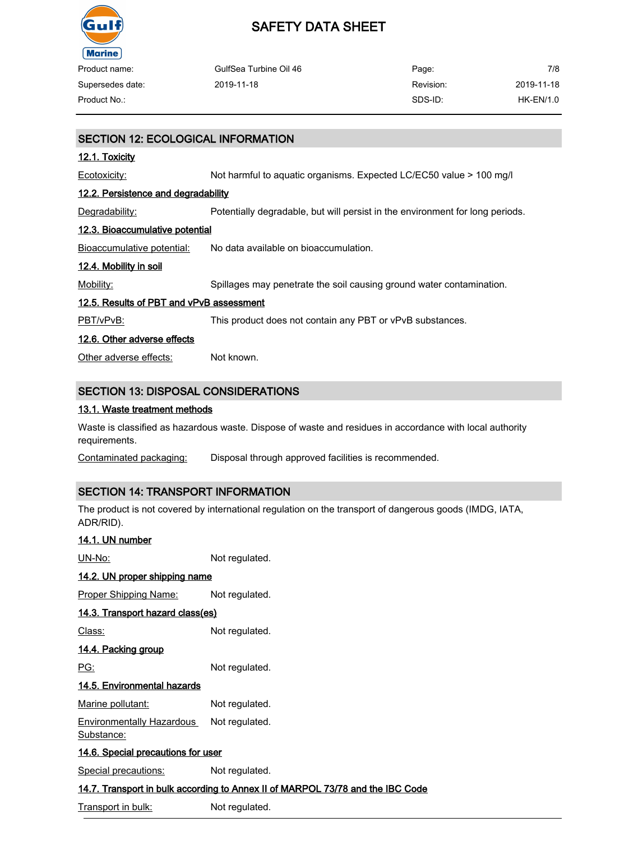

| Product name:    | GulfSea Turbine Oil 46 | Page:     | 7/8         |
|------------------|------------------------|-----------|-------------|
| Supersedes date: | 2019-11-18             | Revision: | 2019-11-18  |
| Product No.:     |                        | SDS-ID:   | $HK-EN/1.0$ |

## SECTION 12: ECOLOGICAL INFORMATION

#### 12.1. Toxicity

Ecotoxicity: Not harmful to aquatic organisms. Expected LC/EC50 value > 100 mg/l

#### 12.2. Persistence and degradability

Degradability: Potentially degradable, but will persist in the environment for long periods.

### 12.3. Bioaccumulative potential

Bioaccumulative potential: No data available on bioaccumulation.

### 12.4. Mobility in soil

Mobility: Spillages may penetrate the soil causing ground water contamination.

### 12.5. Results of PBT and vPvB assessment

PBT/vPvB: This product does not contain any PBT or vPvB substances.

### 12.6. Other adverse effects

Other adverse effects: Not known.

## SECTION 13: DISPOSAL CONSIDERATIONS

### 13.1. Waste treatment methods

Waste is classified as hazardous waste. Dispose of waste and residues in accordance with local authority requirements.

Contaminated packaging: Disposal through approved facilities is recommended.

### SECTION 14: TRANSPORT INFORMATION

The product is not covered by international regulation on the transport of dangerous goods (IMDG, IATA, ADR/RID).

# 14.1. UN number

UN-No: Not regulated.

### 14.2. UN proper shipping name

Proper Shipping Name: Not regulated.

### 14.3. Transport hazard class(es)

Class: Not regulated.

### 14.4. Packing group

PG: Not regulated.

### 14.5. Environmental hazards

Marine pollutant: Not regulated.

Environmentally Hazardous Not regulated.

Substance:

#### 14.6. Special precautions for user

Special precautions: Not regulated.

#### 14.7. Transport in bulk according to Annex II of MARPOL 73/78 and the IBC Code

Transport in bulk: Not regulated.